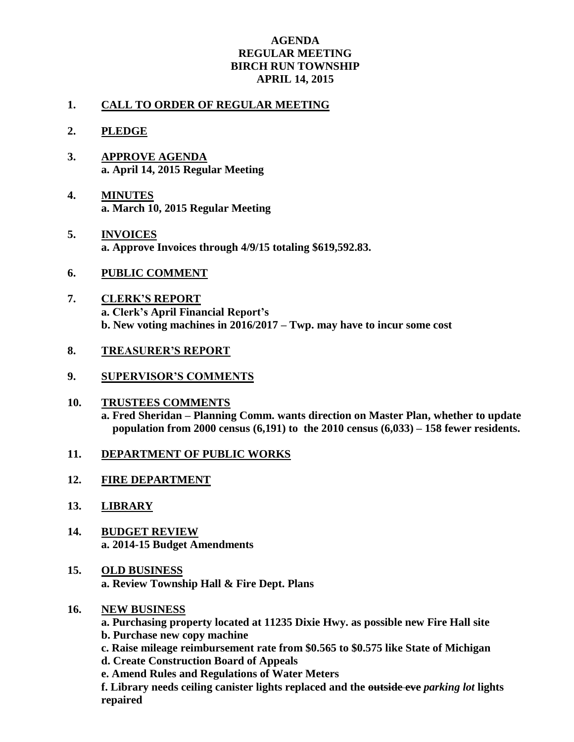## **AGENDA REGULAR MEETING BIRCH RUN TOWNSHIP APRIL 14, 2015**

## **1. CALL TO ORDER OF REGULAR MEETING**

- **2. PLEDGE**
- **3. APPROVE AGENDA a. April 14, 2015 Regular Meeting**
- **4. MINUTES a. March 10, 2015 Regular Meeting**
- **5. INVOICES a. Approve Invoices through 4/9/15 totaling \$619,592.83.**
- **6. PUBLIC COMMENT**
- **7. CLERK'S REPORT a. Clerk's April Financial Report's b. New voting machines in 2016/2017 – Twp. may have to incur some cost**
- **8. TREASURER'S REPORT**
- **9. SUPERVISOR'S COMMENTS**
- **10. TRUSTEES COMMENTS a. Fred Sheridan – Planning Comm. wants direction on Master Plan, whether to update population from 2000 census (6,191) to the 2010 census (6,033) – 158 fewer residents.**
- **11. DEPARTMENT OF PUBLIC WORKS**
- **12. FIRE DEPARTMENT**
- **13. LIBRARY**
- **14. BUDGET REVIEW a. 2014-15 Budget Amendments**
- **15. OLD BUSINESS a. Review Township Hall & Fire Dept. Plans**
- **16. NEW BUSINESS**

**a. Purchasing property located at 11235 Dixie Hwy. as possible new Fire Hall site**

- **b. Purchase new copy machine**
- **c. Raise mileage reimbursement rate from \$0.565 to \$0.575 like State of Michigan**

**d. Create Construction Board of Appeals**

**e. Amend Rules and Regulations of Water Meters**

**f. Library needs ceiling canister lights replaced and the outside eve** *parking lot* **lights repaired**